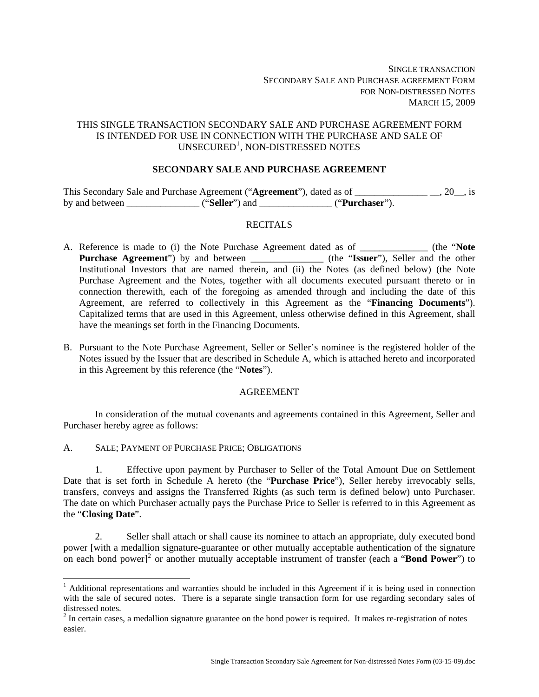# THIS SINGLE TRANSACTION SECONDARY SALE AND PURCHASE AGREEMENT FORM IS INTENDED FOR USE IN CONNECTION WITH THE PURCHASE AND SALE OF UNSECURED<sup>[1](#page-0-0)</sup>, NON-DISTRESSED NOTES

## **SECONDARY SALE AND PURCHASE AGREEMENT**

This Secondary Sale and Purchase Agreement ("**Agreement**"), dated as of \_\_\_\_\_\_\_\_\_\_\_\_\_\_\_ \_\_, 20\_\_, is by and between \_\_\_\_\_\_\_\_\_\_\_\_\_\_\_ ("**Seller**") and \_\_\_\_\_\_\_\_\_\_\_\_\_\_\_ ("**Purchaser**").

## **RECITALS**

- A. Reference is made to (i) the Note Purchase Agreement dated as of \_\_\_\_\_\_\_\_\_\_\_\_\_\_ (the "**Note Purchase Agreement**") by and between \_\_\_\_\_\_\_\_\_\_\_\_\_\_\_\_ (the "Issuer"), Seller and the other Institutional Investors that are named therein, and (ii) the Notes (as defined below) (the Note Purchase Agreement and the Notes, together with all documents executed pursuant thereto or in connection therewith, each of the foregoing as amended through and including the date of this Agreement, are referred to collectively in this Agreement as the "**Financing Documents**"). Capitalized terms that are used in this Agreement, unless otherwise defined in this Agreement, shall have the meanings set forth in the Financing Documents.
- B. Pursuant to the Note Purchase Agreement, Seller or Seller's nominee is the registered holder of the Notes issued by the Issuer that are described in Schedule A, which is attached hereto and incorporated in this Agreement by this reference (the "**Notes**").

## AGREEMENT

In consideration of the mutual covenants and agreements contained in this Agreement, Seller and Purchaser hereby agree as follows:

A. SALE; PAYMENT OF PURCHASE PRICE; OBLIGATIONS

 $\overline{a}$ 

1. Effective upon payment by Purchaser to Seller of the Total Amount Due on Settlement Date that is set forth in Schedule A hereto (the "**Purchase Price**"), Seller hereby irrevocably sells, transfers, conveys and assigns the Transferred Rights (as such term is defined below) unto Purchaser. The date on which Purchaser actually pays the Purchase Price to Seller is referred to in this Agreement as the "**Closing Date**".

2. Seller shall attach or shall cause its nominee to attach an appropriate, duly executed bond power [with a medallion signature-guarantee or other mutually acceptable authentication of the signature on each bond power]<sup>[2](#page-0-1)</sup> or another mutually acceptable instrument of transfer (each a "**Bond Power**") to

<span id="page-0-0"></span><sup>&</sup>lt;sup>1</sup> Additional representations and warranties should be included in this Agreement if it is being used in connection with the sale of secured notes. There is a separate single transaction form for use regarding secondary sales of distressed notes.

<span id="page-0-1"></span> $2^{2}$  In certain cases, a medallion signature guarantee on the bond power is required. It makes re-registration of notes easier.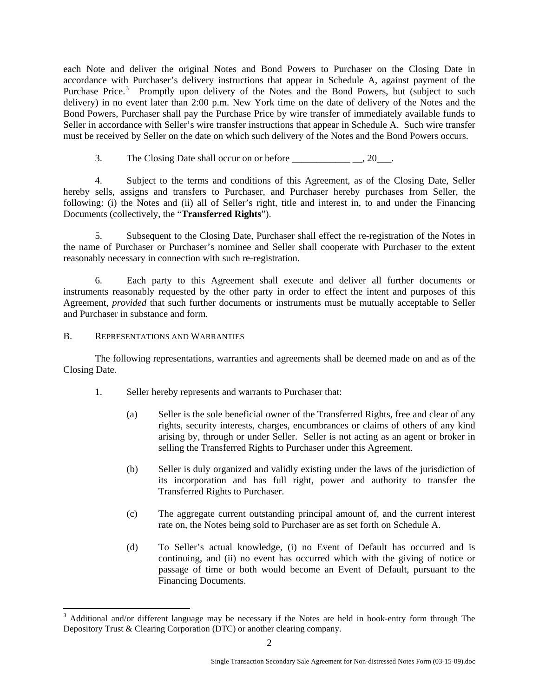each Note and deliver the original Notes and Bond Powers to Purchaser on the Closing Date in accordance with Purchaser's delivery instructions that appear in Schedule A, against payment of the Purchase Price.<sup>[3](#page-1-0)</sup> Promptly upon delivery of the Notes and the Bond Powers, but (subject to such delivery) in no event later than 2:00 p.m. New York time on the date of delivery of the Notes and the Bond Powers, Purchaser shall pay the Purchase Price by wire transfer of immediately available funds to Seller in accordance with Seller's wire transfer instructions that appear in Schedule A. Such wire transfer must be received by Seller on the date on which such delivery of the Notes and the Bond Powers occurs.

3. The Closing Date shall occur on or before \_\_\_\_\_\_\_\_\_\_\_\_ \_\_, 20\_\_\_.

4. Subject to the terms and conditions of this Agreement, as of the Closing Date, Seller hereby sells, assigns and transfers to Purchaser, and Purchaser hereby purchases from Seller, the following: (i) the Notes and (ii) all of Seller's right, title and interest in, to and under the Financing Documents (collectively, the "**Transferred Rights**").

5. Subsequent to the Closing Date, Purchaser shall effect the re-registration of the Notes in the name of Purchaser or Purchaser's nominee and Seller shall cooperate with Purchaser to the extent reasonably necessary in connection with such re-registration.

6. Each party to this Agreement shall execute and deliver all further documents or instruments reasonably requested by the other party in order to effect the intent and purposes of this Agreement, *provided* that such further documents or instruments must be mutually acceptable to Seller and Purchaser in substance and form.

# B. REPRESENTATIONS AND WARRANTIES

 $\overline{a}$ 

The following representations, warranties and agreements shall be deemed made on and as of the Closing Date.

- 1. Seller hereby represents and warrants to Purchaser that:
	- (a) Seller is the sole beneficial owner of the Transferred Rights, free and clear of any rights, security interests, charges, encumbrances or claims of others of any kind arising by, through or under Seller. Seller is not acting as an agent or broker in selling the Transferred Rights to Purchaser under this Agreement.
	- (b) Seller is duly organized and validly existing under the laws of the jurisdiction of its incorporation and has full right, power and authority to transfer the Transferred Rights to Purchaser.
	- (c) The aggregate current outstanding principal amount of, and the current interest rate on, the Notes being sold to Purchaser are as set forth on Schedule A.
	- (d) To Seller's actual knowledge, (i) no Event of Default has occurred and is continuing, and (ii) no event has occurred which with the giving of notice or passage of time or both would become an Event of Default, pursuant to the Financing Documents.

<span id="page-1-0"></span><sup>&</sup>lt;sup>3</sup> Additional and/or different language may be necessary if the Notes are held in book-entry form through The Depository Trust & Clearing Corporation (DTC) or another clearing company.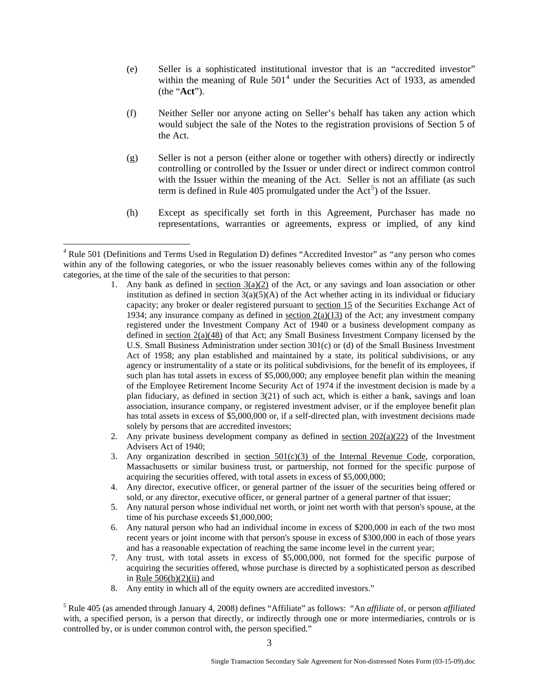- (e) Seller is a sophisticated institutional investor that is an "accredited investor" within the meaning of Rule  $501<sup>4</sup>$  $501<sup>4</sup>$  $501<sup>4</sup>$  under the Securities Act of 1933, as amended (the "**Act**").
- (f) Neither Seller nor anyone acting on Seller's behalf has taken any action which would subject the sale of the Notes to the registration provisions of Section 5 of the Act.
- (g) Seller is not a person (either alone or together with others) directly or indirectly controlling or controlled by the Issuer or under direct or indirect common control with the Issuer within the meaning of the Act. Seller is not an affiliate (as such term is defined in Rule 40[5](#page-2-1) promulgated under the  $Act<sup>5</sup>$  of the Issuer.
- (h) Except as specifically set forth in this Agreement, Purchaser has made no representations, warranties or agreements, express or implied, of any kind

 $\overline{a}$ 

- 2. Any private business development company as defined in section  $202(a)(22)$  of the Investment Advisers Act of 1940;
- 3. Any organization described in section  $501(c)(3)$  of the Internal Revenue Code, corporation, Massachusetts or similar business trust, or partnership, not formed for the specific purpose of acquiring the securities offered, with total assets in excess of \$5,000,000;
- 4. Any director, executive officer, or general partner of the issuer of the securities being offered or sold, or any director, executive officer, or general partner of a general partner of that issuer;
- 5. Any natural person whose individual net worth, or joint net worth with that person's spouse, at the time of his purchase exceeds \$1,000,000;
- 6. Any natural person who had an individual income in excess of \$200,000 in each of the two most recent years or joint income with that person's spouse in excess of \$300,000 in each of those years and has a reasonable expectation of reaching the same income level in the current year;
- 7. Any trust, with total assets in excess of \$5,000,000, not formed for the specific purpose of acquiring the securities offered, whose purchase is directed by a sophisticated person as described in Rule  $506(b)(2)(ii)$  and
- 8. Any entity in which all of the equity owners are accredited investors."

<span id="page-2-1"></span>5 Rule 405 (as amended through January 4, 2008) defines "Affiliate" as follows: "An *affiliate* of, or person *affiliated* with, a specified person, is a person that directly, or indirectly through one or more intermediaries, controls or is controlled by, or is under common control with, the person specified."

<span id="page-2-0"></span><sup>4</sup> Rule 501 (Definitions and Terms Used in Regulation D) defines "Accredited Investor" as *"*any person who comes within any of the following categories, or who the issuer reasonably believes comes within any of the following categories, at the time of the sale of the securities to that person:

<sup>1.</sup> Any bank as defined in section  $3(a)(2)$  of the Act, or any savings and loan association or other institution as defined in section  $3(a)(5)(A)$  of the Act whether acting in its individual or fiduciary capacity; any broker or dealer registered pursuant to [section 15](http://www.law.uc.edu/CCL/34Act/sec15.html) of the Securities Exchange Act of 1934; any insurance company as defined in <u>section  $2(a)(13)$ </u> of the Act; any investment company registered under the Investment Company Act of 1940 or a business development company as defined in [section 2\(a\)\(48\)](http://www.law.uc.edu/CCL/InvCoAct/sec2.html#a.48) of that Act; any Small Business Investment Company licensed by the U.S. Small Business Administration under section 301(c) or (d) of the Small Business Investment Act of 1958; any plan established and maintained by a state, its political subdivisions, or any agency or instrumentality of a state or its political subdivisions, for the benefit of its employees, if such plan has total assets in excess of \$5,000,000; any employee benefit plan within the meaning of the Employee Retirement Income Security Act of 1974 if the investment decision is made by a plan fiduciary, as defined in section 3(21) of such act, which is either a bank, savings and loan association, insurance company, or registered investment adviser, or if the employee benefit plan has total assets in excess of \$5,000,000 or, if a self-directed plan, with investment decisions made solely by persons that are accredited investors;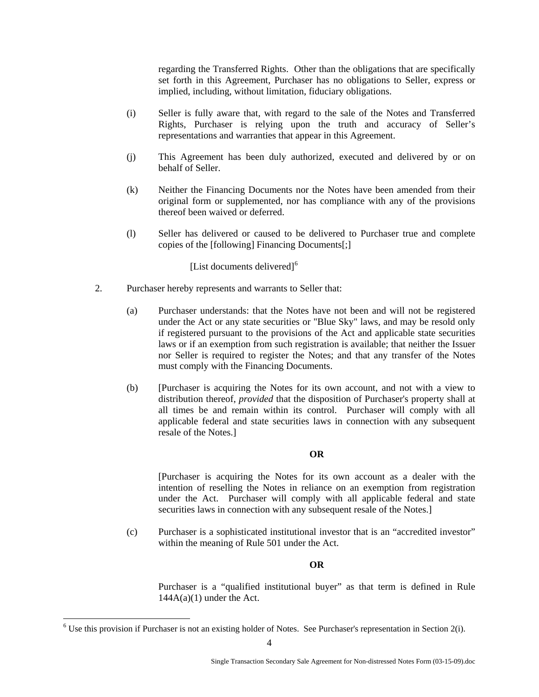regarding the Transferred Rights. Other than the obligations that are specifically set forth in this Agreement, Purchaser has no obligations to Seller, express or implied, including, without limitation, fiduciary obligations.

- (i) Seller is fully aware that, with regard to the sale of the Notes and Transferred Rights, Purchaser is relying upon the truth and accuracy of Seller's representations and warranties that appear in this Agreement.
- (j) This Agreement has been duly authorized, executed and delivered by or on behalf of Seller.
- (k) Neither the Financing Documents nor the Notes have been amended from their original form or supplemented, nor has compliance with any of the provisions thereof been waived or deferred.
- (l) Seller has delivered or caused to be delivered to Purchaser true and complete copies of the [following] Financing Documents[;]

[List documents delivered]<sup>[6](#page-3-0)</sup>

- 2. Purchaser hereby represents and warrants to Seller that:
	- (a) Purchaser understands: that the Notes have not been and will not be registered under the Act or any state securities or "Blue Sky" laws, and may be resold only if registered pursuant to the provisions of the Act and applicable state securities laws or if an exemption from such registration is available; that neither the Issuer nor Seller is required to register the Notes; and that any transfer of the Notes must comply with the Financing Documents.
	- (b) [Purchaser is acquiring the Notes for its own account, and not with a view to distribution thereof, *provided* that the disposition of Purchaser's property shall at all times be and remain within its control. Purchaser will comply with all applicable federal and state securities laws in connection with any subsequent resale of the Notes.]

### **OR**

[Purchaser is acquiring the Notes for its own account as a dealer with the intention of reselling the Notes in reliance on an exemption from registration under the Act. Purchaser will comply with all applicable federal and state securities laws in connection with any subsequent resale of the Notes.

(c) Purchaser is a sophisticated institutional investor that is an "accredited investor" within the meaning of Rule 501 under the Act.

### **OR**

Purchaser is a "qualified institutional buyer" as that term is defined in Rule  $144A(a)(1)$  under the Act.

 $\overline{a}$ 

<span id="page-3-0"></span> $6$  Use this provision if Purchaser is not an existing holder of Notes. See Purchaser's representation in Section 2(i).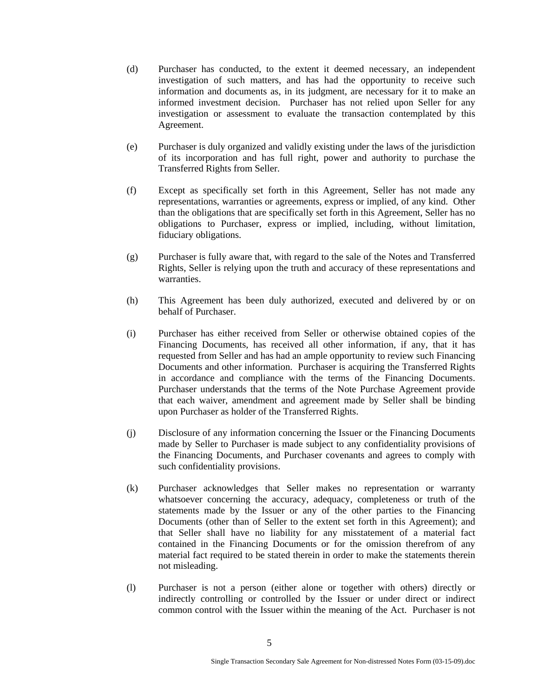- (d) Purchaser has conducted, to the extent it deemed necessary, an independent investigation of such matters, and has had the opportunity to receive such information and documents as, in its judgment, are necessary for it to make an informed investment decision. Purchaser has not relied upon Seller for any investigation or assessment to evaluate the transaction contemplated by this Agreement.
- (e) Purchaser is duly organized and validly existing under the laws of the jurisdiction of its incorporation and has full right, power and authority to purchase the Transferred Rights from Seller.
- (f) Except as specifically set forth in this Agreement, Seller has not made any representations, warranties or agreements, express or implied, of any kind. Other than the obligations that are specifically set forth in this Agreement, Seller has no obligations to Purchaser, express or implied, including, without limitation, fiduciary obligations.
- (g) Purchaser is fully aware that, with regard to the sale of the Notes and Transferred Rights, Seller is relying upon the truth and accuracy of these representations and warranties.
- (h) This Agreement has been duly authorized, executed and delivered by or on behalf of Purchaser.
- (i) Purchaser has either received from Seller or otherwise obtained copies of the Financing Documents, has received all other information, if any, that it has requested from Seller and has had an ample opportunity to review such Financing Documents and other information. Purchaser is acquiring the Transferred Rights in accordance and compliance with the terms of the Financing Documents. Purchaser understands that the terms of the Note Purchase Agreement provide that each waiver, amendment and agreement made by Seller shall be binding upon Purchaser as holder of the Transferred Rights.
- (j) Disclosure of any information concerning the Issuer or the Financing Documents made by Seller to Purchaser is made subject to any confidentiality provisions of the Financing Documents, and Purchaser covenants and agrees to comply with such confidentiality provisions.
- (k) Purchaser acknowledges that Seller makes no representation or warranty whatsoever concerning the accuracy, adequacy, completeness or truth of the statements made by the Issuer or any of the other parties to the Financing Documents (other than of Seller to the extent set forth in this Agreement); and that Seller shall have no liability for any misstatement of a material fact contained in the Financing Documents or for the omission therefrom of any material fact required to be stated therein in order to make the statements therein not misleading.
- (l) Purchaser is not a person (either alone or together with others) directly or indirectly controlling or controlled by the Issuer or under direct or indirect common control with the Issuer within the meaning of the Act. Purchaser is not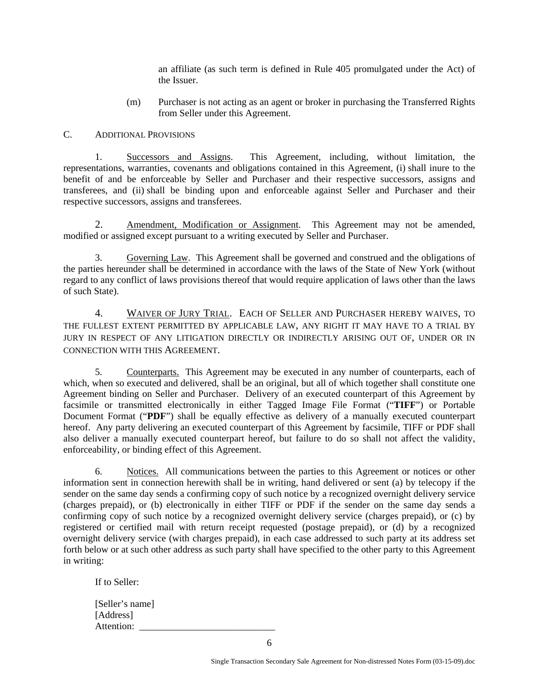an affiliate (as such term is defined in Rule 405 promulgated under the Act) of the Issuer.

(m) Purchaser is not acting as an agent or broker in purchasing the Transferred Rights from Seller under this Agreement.

## C. ADDITIONAL PROVISIONS

 1. Successors and Assigns. This Agreement, including, without limitation, the representations, warranties, covenants and obligations contained in this Agreement, (i) shall inure to the benefit of and be enforceable by Seller and Purchaser and their respective successors, assigns and transferees, and (ii) shall be binding upon and enforceable against Seller and Purchaser and their respective successors, assigns and transferees.

 2. Amendment, Modification or Assignment. This Agreement may not be amended, modified or assigned except pursuant to a writing executed by Seller and Purchaser.

 3. Governing Law. This Agreement shall be governed and construed and the obligations of the parties hereunder shall be determined in accordance with the laws of the State of New York (without regard to any conflict of laws provisions thereof that would require application of laws other than the laws of such State).

4. WAIVER OF JURY TRIAL. EACH OF SELLER AND PURCHASER HEREBY WAIVES, TO THE FULLEST EXTENT PERMITTED BY APPLICABLE LAW, ANY RIGHT IT MAY HAVE TO A TRIAL BY JURY IN RESPECT OF ANY LITIGATION DIRECTLY OR INDIRECTLY ARISING OUT OF, UNDER OR IN CONNECTION WITH THIS AGREEMENT.

5. Counterparts. This Agreement may be executed in any number of counterparts, each of which, when so executed and delivered, shall be an original, but all of which together shall constitute one Agreement binding on Seller and Purchaser. Delivery of an executed counterpart of this Agreement by facsimile or transmitted electronically in either Tagged Image File Format ("**TIFF**") or Portable Document Format ("**PDF**") shall be equally effective as delivery of a manually executed counterpart hereof. Any party delivering an executed counterpart of this Agreement by facsimile, TIFF or PDF shall also deliver a manually executed counterpart hereof, but failure to do so shall not affect the validity, enforceability, or binding effect of this Agreement.

6. Notices. All communications between the parties to this Agreement or notices or other information sent in connection herewith shall be in writing, hand delivered or sent (a) by telecopy if the sender on the same day sends a confirming copy of such notice by a recognized overnight delivery service (charges prepaid), or (b) electronically in either TIFF or PDF if the sender on the same day sends a confirming copy of such notice by a recognized overnight delivery service (charges prepaid), or (c) by registered or certified mail with return receipt requested (postage prepaid), or (d) by a recognized overnight delivery service (with charges prepaid), in each case addressed to such party at its address set forth below or at such other address as such party shall have specified to the other party to this Agreement in writing:

If to Seller:

[Seller's name] [Address] Attention: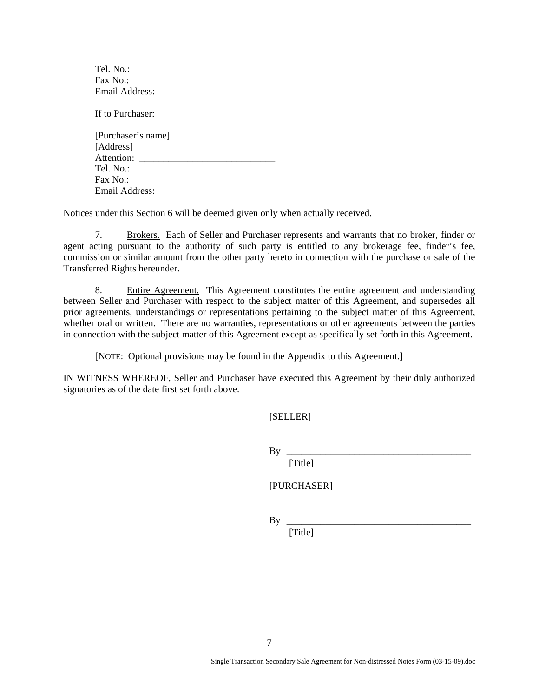Tel. No.:  $\text{Fax No} \cdot$ Email Address:

If to Purchaser:

[Purchaser's name] [Address] Attention: \_\_\_\_\_\_\_\_\_\_\_\_\_\_\_\_\_\_\_\_\_\_\_\_\_\_\_\_ Tel. No.: Fax  $No$ . Email Address:

Notices under this Section 6 will be deemed given only when actually received.

7. Brokers. Each of Seller and Purchaser represents and warrants that no broker, finder or agent acting pursuant to the authority of such party is entitled to any brokerage fee, finder's fee, commission or similar amount from the other party hereto in connection with the purchase or sale of the Transferred Rights hereunder.

8. Entire Agreement. This Agreement constitutes the entire agreement and understanding between Seller and Purchaser with respect to the subject matter of this Agreement, and supersedes all prior agreements, understandings or representations pertaining to the subject matter of this Agreement, whether oral or written. There are no warranties, representations or other agreements between the parties in connection with the subject matter of this Agreement except as specifically set forth in this Agreement.

[NOTE: Optional provisions may be found in the Appendix to this Agreement.]

IN WITNESS WHEREOF, Seller and Purchaser have executed this Agreement by their duly authorized signatories as of the date first set forth above.

[SELLER]

By \_\_\_\_\_\_\_\_\_\_\_\_\_\_\_\_\_\_\_\_\_\_\_\_\_\_\_\_\_\_\_\_\_\_\_\_\_\_

[Title]

[PURCHASER]

 $By \_$ 

[Title]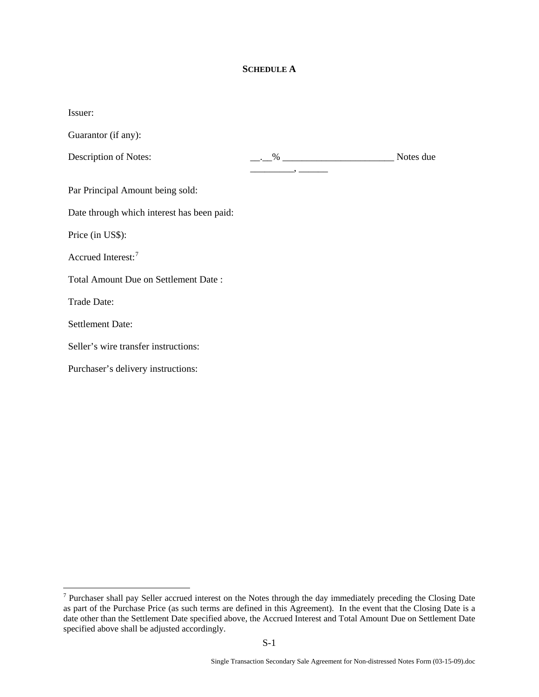## **SCHEDULE A**

| Issuer:                                    |                                                                                                                                                                                                                                                  |           |
|--------------------------------------------|--------------------------------------------------------------------------------------------------------------------------------------------------------------------------------------------------------------------------------------------------|-----------|
| Guarantor (if any):                        |                                                                                                                                                                                                                                                  |           |
| Description of Notes:                      | $  \frac{\%}{\%}$ $  \frac{\%}{\%}$ $  \frac{\%}{\%}$ $ \frac{\%}{\%}$ $ \frac{\%}{\%}$ $ \frac{\%}{\%}$ $ \frac{\%}{\%}$ $ \frac{\%}{\%}$ $ \frac{\%}{\%}$ $ \frac{\%}{\%}$ $ \frac{\%}{\%}$ $ \frac{\%}{\%}$ $ \frac{\%}{\%}$ $ \frac{\%}{\%}$ | Notes due |
| Par Principal Amount being sold:           |                                                                                                                                                                                                                                                  |           |
| Date through which interest has been paid: |                                                                                                                                                                                                                                                  |           |
| Price (in US\$):                           |                                                                                                                                                                                                                                                  |           |
| Accrued Interest: <sup>7</sup>             |                                                                                                                                                                                                                                                  |           |
| Total Amount Due on Settlement Date:       |                                                                                                                                                                                                                                                  |           |
| Trade Date:                                |                                                                                                                                                                                                                                                  |           |
| <b>Settlement Date:</b>                    |                                                                                                                                                                                                                                                  |           |
| Seller's wire transfer instructions:       |                                                                                                                                                                                                                                                  |           |
| Purchaser's delivery instructions:         |                                                                                                                                                                                                                                                  |           |

<span id="page-7-0"></span><sup>&</sup>lt;sup>7</sup> Purchaser shall pay Seller accrued interest on the Notes through the day immediately preceding the Closing Date as part of the Purchase Price (as such terms are defined in this Agreement). In the event that the Closing Date is a date other than the Settlement Date specified above, the Accrued Interest and Total Amount Due on Settlement Date specified above shall be adjusted accordingly.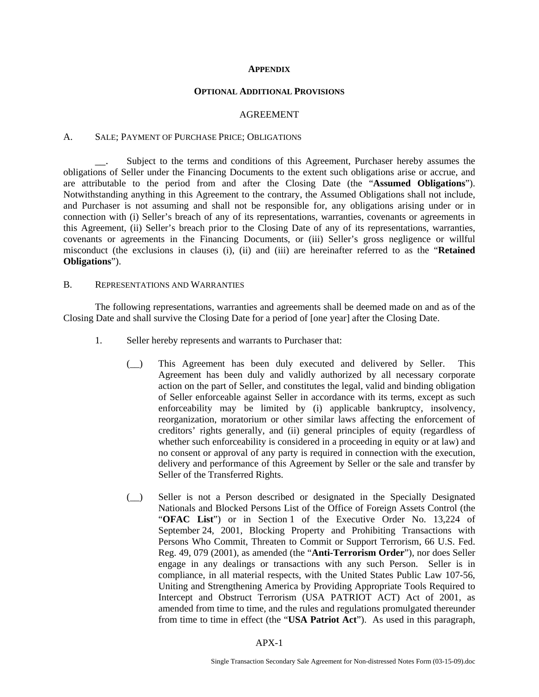#### **APPENDIX**

#### **OPTIONAL ADDITIONAL PROVISIONS**

#### AGREEMENT

#### A. SALE; PAYMENT OF PURCHASE PRICE; OBLIGATIONS

Subject to the terms and conditions of this Agreement, Purchaser hereby assumes the obligations of Seller under the Financing Documents to the extent such obligations arise or accrue, and are attributable to the period from and after the Closing Date (the "**Assumed Obligations**"). Notwithstanding anything in this Agreement to the contrary, the Assumed Obligations shall not include, and Purchaser is not assuming and shall not be responsible for, any obligations arising under or in connection with (i) Seller's breach of any of its representations, warranties, covenants or agreements in this Agreement, (ii) Seller's breach prior to the Closing Date of any of its representations, warranties, covenants or agreements in the Financing Documents, or (iii) Seller's gross negligence or willful misconduct (the exclusions in clauses (i), (ii) and (iii) are hereinafter referred to as the "**Retained Obligations**").

#### B. REPRESENTATIONS AND WARRANTIES

The following representations, warranties and agreements shall be deemed made on and as of the Closing Date and shall survive the Closing Date for a period of [one year] after the Closing Date.

- 1. Seller hereby represents and warrants to Purchaser that:
	- (\_\_) This Agreement has been duly executed and delivered by Seller. This Agreement has been duly and validly authorized by all necessary corporate action on the part of Seller, and constitutes the legal, valid and binding obligation of Seller enforceable against Seller in accordance with its terms, except as such enforceability may be limited by (i) applicable bankruptcy, insolvency, reorganization, moratorium or other similar laws affecting the enforcement of creditors' rights generally, and (ii) general principles of equity (regardless of whether such enforceability is considered in a proceeding in equity or at law) and no consent or approval of any party is required in connection with the execution, delivery and performance of this Agreement by Seller or the sale and transfer by Seller of the Transferred Rights.
	- (\_\_) Seller is not a Person described or designated in the Specially Designated Nationals and Blocked Persons List of the Office of Foreign Assets Control (the "**OFAC List**") or in Section 1 of the Executive Order No. 13,224 of September 24, 2001, Blocking Property and Prohibiting Transactions with Persons Who Commit, Threaten to Commit or Support Terrorism, 66 U.S. Fed. Reg. 49, 079 (2001), as amended (the "**Anti-Terrorism Order**"), nor does Seller engage in any dealings or transactions with any such Person. Seller is in compliance, in all material respects, with the United States Public Law 107-56, Uniting and Strengthening America by Providing Appropriate Tools Required to Intercept and Obstruct Terrorism (USA PATRIOT ACT) Act of 2001, as amended from time to time, and the rules and regulations promulgated thereunder from time to time in effect (the "**USA Patriot Act**"). As used in this paragraph,

APX-1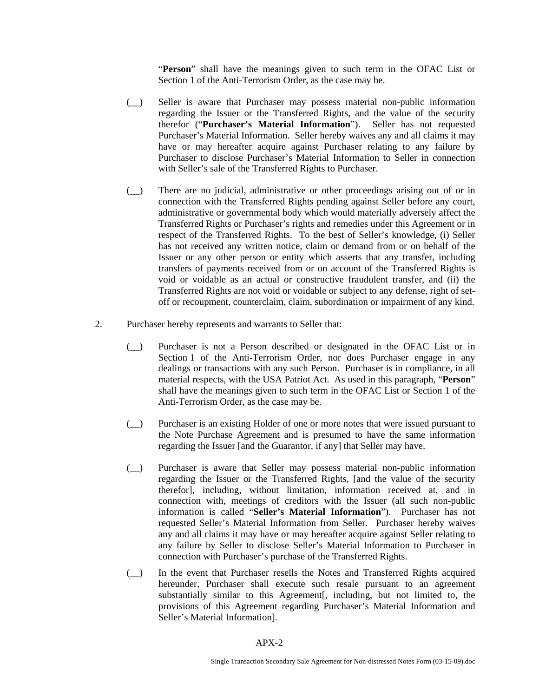"**Person**" shall have the meanings given to such term in the OFAC List or Section 1 of the Anti-Terrorism Order, as the case may be.

- (\_\_) Seller is aware that Purchaser may possess material non-public information regarding the Issuer or the Transferred Rights, and the value of the security therefor ("**Purchaser's Material Information**"). Seller has not requested Purchaser's Material Information. Seller hereby waives any and all claims it may have or may hereafter acquire against Purchaser relating to any failure by Purchaser to disclose Purchaser's Material Information to Seller in connection with Seller's sale of the Transferred Rights to Purchaser.
- (\_\_) There are no judicial, administrative or other proceedings arising out of or in connection with the Transferred Rights pending against Seller before any court, administrative or governmental body which would materially adversely affect the Transferred Rights or Purchaser's rights and remedies under this Agreement or in respect of the Transferred Rights. To the best of Seller's knowledge, (i) Seller has not received any written notice, claim or demand from or on behalf of the Issuer or any other person or entity which asserts that any transfer, including transfers of payments received from or on account of the Transferred Rights is void or voidable as an actual or constructive fraudulent transfer, and (ii) the Transferred Rights are not void or voidable or subject to any defense, right of setoff or recoupment, counterclaim, claim, subordination or impairment of any kind.
- 2. Purchaser hereby represents and warrants to Seller that:
	- (\_\_) Purchaser is not a Person described or designated in the OFAC List or in Section 1 of the Anti-Terrorism Order, nor does Purchaser engage in any dealings or transactions with any such Person. Purchaser is in compliance, in all material respects, with the USA Patriot Act. As used in this paragraph, "**Person**" shall have the meanings given to such term in the OFAC List or Section 1 of the Anti-Terrorism Order, as the case may be.
	- (\_\_) Purchaser is an existing Holder of one or more notes that were issued pursuant to the Note Purchase Agreement and is presumed to have the same information regarding the Issuer [and the Guarantor, if any] that Seller may have.
	- (\_\_) Purchaser is aware that Seller may possess material non-public information regarding the Issuer or the Transferred Rights, [and the value of the security therefor], including, without limitation, information received at, and in connection with, meetings of creditors with the Issuer (all such non-public information is called "**Seller's Material Information**"). Purchaser has not requested Seller's Material Information from Seller. Purchaser hereby waives any and all claims it may have or may hereafter acquire against Seller relating to any failure by Seller to disclose Seller's Material Information to Purchaser in connection with Purchaser's purchase of the Transferred Rights.
	- (\_\_) In the event that Purchaser resells the Notes and Transferred Rights acquired hereunder, Purchaser shall execute such resale pursuant to an agreement substantially similar to this Agreement[, including, but not limited to, the provisions of this Agreement regarding Purchaser's Material Information and Seller's Material Information].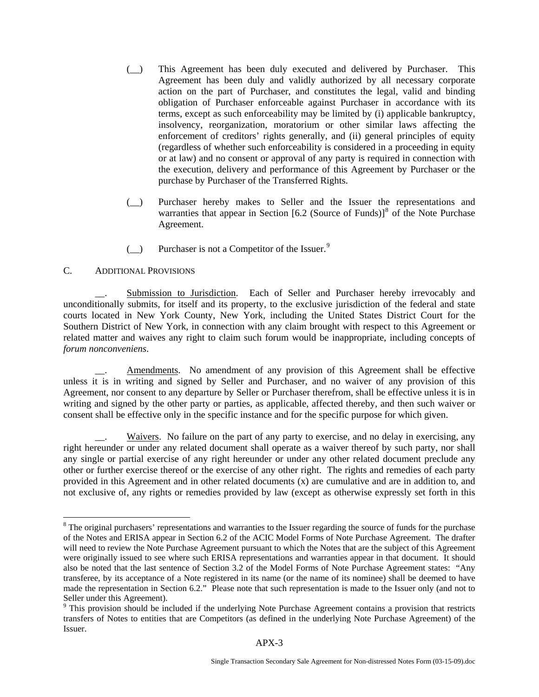- (\_\_) This Agreement has been duly executed and delivered by Purchaser. This Agreement has been duly and validly authorized by all necessary corporate action on the part of Purchaser, and constitutes the legal, valid and binding obligation of Purchaser enforceable against Purchaser in accordance with its terms, except as such enforceability may be limited by (i) applicable bankruptcy, insolvency, reorganization, moratorium or other similar laws affecting the enforcement of creditors' rights generally, and (ii) general principles of equity (regardless of whether such enforceability is considered in a proceeding in equity or at law) and no consent or approval of any party is required in connection with the execution, delivery and performance of this Agreement by Purchaser or the purchase by Purchaser of the Transferred Rights.
- (\_\_) Purchaser hereby makes to Seller and the Issuer the representations and warranties that appear in Section  $[6.2$  (Source of Funds)<sup>[8](#page-10-0)</sup> of the Note Purchase Agreement.
- $\Box$  Purchaser is not a Competitor of the Issuer.<sup>[9](#page-10-1)</sup>

# C. ADDITIONAL PROVISIONS

 $\overline{a}$ 

Submission to Jurisdiction. Each of Seller and Purchaser hereby irrevocably and unconditionally submits, for itself and its property, to the exclusive jurisdiction of the federal and state courts located in New York County, New York, including the United States District Court for the Southern District of New York, in connection with any claim brought with respect to this Agreement or related matter and waives any right to claim such forum would be inappropriate, including concepts of *forum nonconveniens*.

Amendments. No amendment of any provision of this Agreement shall be effective unless it is in writing and signed by Seller and Purchaser, and no waiver of any provision of this Agreement, nor consent to any departure by Seller or Purchaser therefrom, shall be effective unless it is in writing and signed by the other party or parties, as applicable, affected thereby, and then such waiver or consent shall be effective only in the specific instance and for the specific purpose for which given.

Waivers. No failure on the part of any party to exercise, and no delay in exercising, any right hereunder or under any related document shall operate as a waiver thereof by such party, nor shall any single or partial exercise of any right hereunder or under any other related document preclude any other or further exercise thereof or the exercise of any other right. The rights and remedies of each party provided in this Agreement and in other related documents (x) are cumulative and are in addition to, and not exclusive of, any rights or remedies provided by law (except as otherwise expressly set forth in this

<span id="page-10-0"></span><sup>&</sup>lt;sup>8</sup> The original purchasers' representations and warranties to the Issuer regarding the source of funds for the purchase of the Notes and ERISA appear in Section 6.2 of the ACIC Model Forms of Note Purchase Agreement. The drafter will need to review the Note Purchase Agreement pursuant to which the Notes that are the subject of this Agreement were originally issued to see where such ERISA representations and warranties appear in that document. It should also be noted that the last sentence of Section 3.2 of the Model Forms of Note Purchase Agreement states: "Any transferee, by its acceptance of a Note registered in its name (or the name of its nominee) shall be deemed to have made the representation in Section 6.2." Please note that such representation is made to the Issuer only (and not to Seller under this Agreement).

<span id="page-10-1"></span><sup>&</sup>lt;sup>9</sup> This provision should be included if the underlying Note Purchase Agreement contains a provision that restricts transfers of Notes to entities that are Competitors (as defined in the underlying Note Purchase Agreement) of the Issuer.